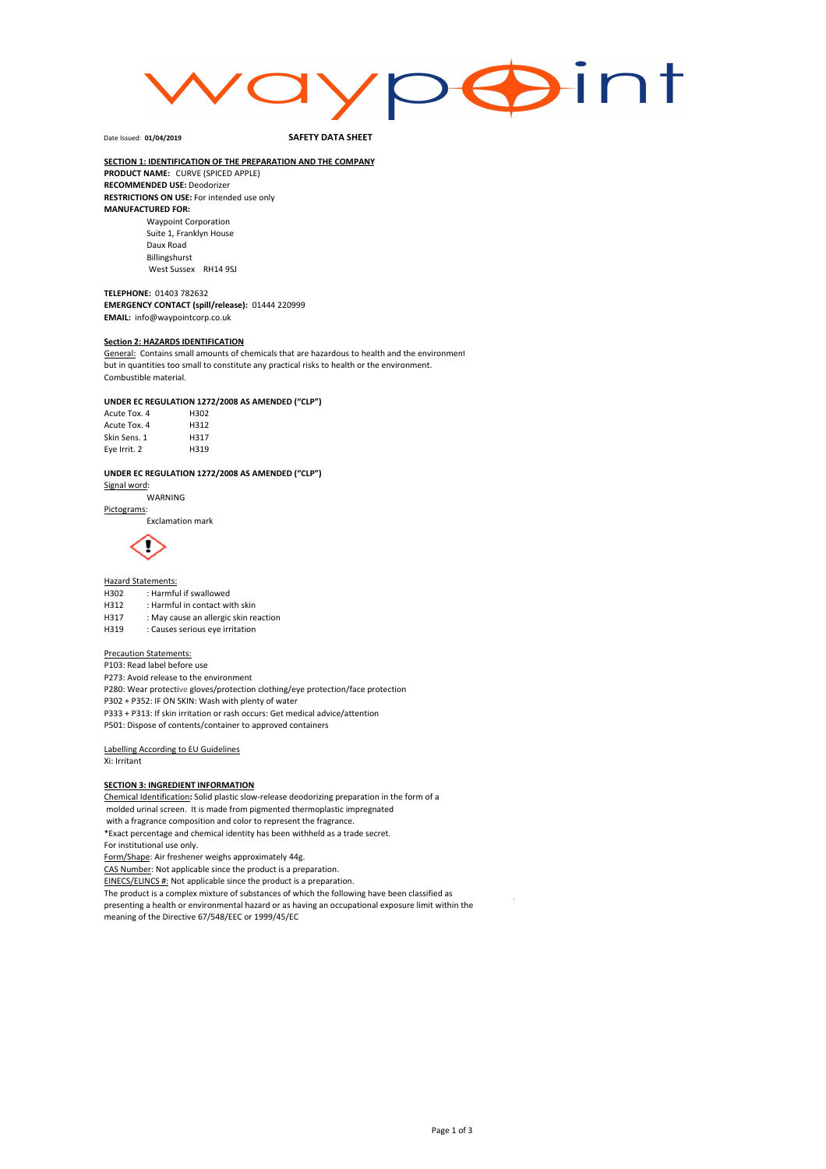

Date Issued: **01/04/2019**

#### SAFETY DATA SHEET

#### SECTION 1: IDENTIFICATION OF THE PREPARATION AND THE COMPANY PRODUCT NAME: CURVE (SPICED APPLE) RECOMMENDED USE: Deodorizer

RESTRICTIONS ON USE: For intended use only MANUFACTURED FOR: Waypoint Corporation

Suite 1, Franklyn House Daux Road Billingshurst West Sussex RH14 9SJ

#### TELEPHONE: 01403 782632

EMERGENCY CONTACT (spill/release): 01444 220999 EMAIL: info@waypointcorp.co.uk

#### **Section 2: HAZARDS IDENTIFICATION**

General: Contains small amounts of chemicals that are hazardous to health and the environment but in quantities too small to constitute any practical risks to health or the environment. Combustible material.

### UNDER EC REGULATION 1272/2008 AS AMENDED ("CLP")

| Acute Tox. 4 | H302 |
|--------------|------|
| Acute Tox. 4 | H312 |
| Skin Sens. 1 | H317 |
| Eye Irrit. 2 | H319 |

## UNDER EC REGULATION 1272/2008 AS AMENDED ("CLP")

Signal word: WARNING

#### Pictograms:

Exclamation mark



# Hazard Statements:<br>H302 : Harmfu

H302 : Harmful if swallowed<br>H312 : Harmful in contact wi

- H312 : Harmful in contact with skin<br>H317 : May cause an allergic skin re
- : May cause an allergic skin reaction

### H319 : Causes serious eye irritation

#### Precaution Statements:

P103: Read label before use

P273: Avoid release to the environment

P280: Wear protective gloves/protection clothing/eye protection/face protection

P302 + P352: IF ON SKIN: Wash with plenty of water

P333 + P313: If skin irritation or rash occurs: Get medical advice/attention

P501: Dispose of contents/container to approved containers

### Labelling According to EU Guidelines

Xi: Irritant

#### **SECTION 3: INGREDIENT INFORMATION**

Chemical Identification: Solid plastic slow-release deodorizing preparation in the form of a molded urinal screen. It is made from pigmented thermoplastic impregnated with a fragrance composition and color to represent the fragrance.

\*Exact percentage and chemical identity has been withheld as a trade secret. For institutional use only.

Form/Shape: Air freshener weighs approximately 44g. CAS Number: Not applicable since the product is a preparation.

EINECS/ELINCS #: Not applicable since the product is a preparation.

The product is a complex mixture of substances of which the following have been classified as

presenting a health or environmental hazard or as having an occupational exposure limit within the meaning of the Directive 67/548/EEC or 1999/45/EC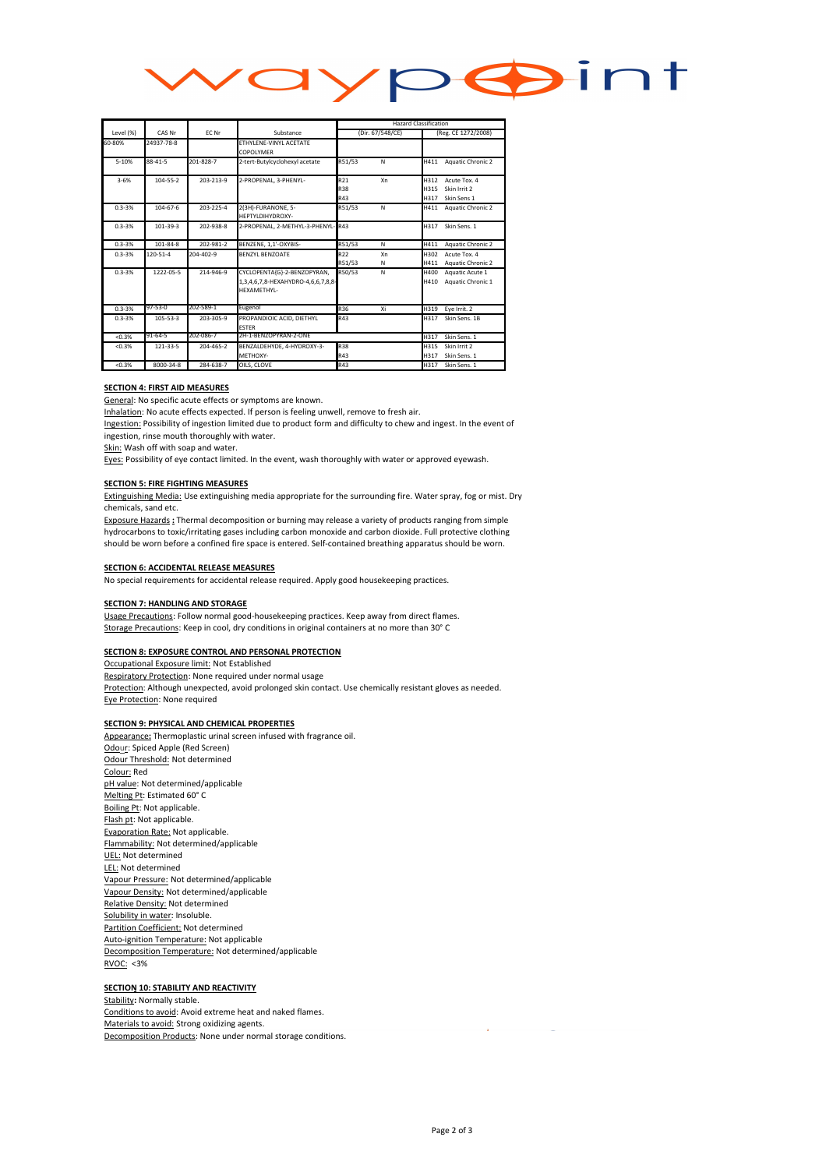

|            | CAS Nr         | FC Nr     | Substance                                                                        | <b>Hazard Classification</b>         |         |                      |                                             |
|------------|----------------|-----------|----------------------------------------------------------------------------------|--------------------------------------|---------|----------------------|---------------------------------------------|
| Level (%)  |                |           |                                                                                  | (Dir. 67/548/CE)                     |         | (Reg. CE 1272/2008)  |                                             |
| 60-80%     | 24937-78-8     |           | FTHYLENE-VINYL ACETATE<br>COPOLYMER                                              |                                      |         |                      |                                             |
| $5 - 10%$  | $88 - 41 - 5$  | 201-828-7 | 2-tert-Butylcyclohexyl acetate                                                   | R51/53                               | N       | H411                 | Aquatic Chronic 2                           |
| $3 - 6%$   | $104 - 55 - 2$ | 203-213-9 | 2-PROPENAL, 3-PHENYL-                                                            | R <sub>21</sub><br><b>R38</b><br>R43 | Xn      | H312<br>H315<br>H317 | Acute Tox. 4<br>Skin Irrit 2<br>Skin Sens 1 |
| $0.3 - 3%$ | $104 - 67 - 6$ | 203-225-4 | 2(3H)-FURANONE, 5-<br>HEPTYLDIHYDROXY-                                           | R51/53                               | N       | H411                 | <b>Aquatic Chronic 2</b>                    |
| $0.3 - 3%$ | 101-39-3       | 202-938-8 | 2-PROPENAL, 2-METHYL-3-PHENYL-R43                                                |                                      |         | H317                 | Skin Sens. 1                                |
| $0.3 - 3%$ | $101 - 84 - 8$ | 202-981-2 | BENZENE, 1.1'-OXYBIS-                                                            | R51/53                               | N       | H411                 | Aquatic Chronic 2                           |
| $0.3 - 3%$ | $120 - 51 - 4$ | 204-402-9 | <b>BENZYL BENZOATE</b>                                                           | R <sub>22</sub><br>R51/53            | Xn<br>N | H302<br>H411         | Acute Tox. 4<br>Aquatic Chronic 2           |
| $0.3 - 3%$ | 1222-05-5      | 214-946-9 | CYCLOPENTA{G}-2-BENZOPYRAN,<br>1,3,4,6,7,8-HEXAHYDRO-4,6,6,7,8,8-<br>HEXAMETHYL- | R50/53                               | N       | H400<br>H410         | Aquatic Acute 1<br>Aquatic Chronic 1        |
| $0.3 - 3%$ | 97-53-0        | 202-589-1 | Eugenol                                                                          | R36                                  | Xi      | H319                 | Eye Irrit. 2                                |
| $0.3 - 3%$ | $105 - 53 - 3$ | 203-305-9 | PROPANDIOIC ACID. DIETHYL<br><b>ESTER</b>                                        | R43                                  |         | H317                 | Skin Sens, 1B                               |
| < 0.3%     | 91-64-5        | 202-086-7 | 2H-1-BENZOPYRAN-2-ONE                                                            |                                      |         | H317                 | Skin Sens. 1                                |
| < 0.3%     | 121-33-5       | 204-465-2 | BENZALDEHYDE, 4-HYDROXY-3-<br>METHOXY-                                           | R38<br>R43                           |         | H315<br>H317         | Skin Irrit 2<br>Skin Sens. 1                |
| < 0.3%     | 8000-34-8      | 284-638-7 | OILS, CLOVE                                                                      | R43                                  |         | H317                 | Skin Sens. 1                                |

#### SECTION 4: FIRST AID MEASURES

General: No specific acute effects or symptoms are known.

Inhalation: No acute effects expected. If person is feeling unwell, remove to fresh air.

Ingestion: Possibility of ingestion limited due to product form and difficulty to chew and ingest. In the event of ingestion, rinse mouth thoroughly with water.

Skin: Wash off with soap and water.

Eyes: Possibility of eye contact limited. In the event, wash thoroughly with water or approved eyewash.

#### SECTION 5: FIRE FIGHTING MEASURES

Extinguishing Media: Use extinguishing media appropriate for the surrounding fire. Water spray, fog or mist. Dry chemicals, sand etc.

Exposure Hazards : Thermal decomposition or burning may release a variety of products ranging from simple hydrocarbons to toxic/irritating gases including carbon monoxide and carbon dioxide. Full protective clothing should be worn before a confined fire space is entered. Self-contained breathing apparatus should be worn.

#### SECTION 6: ACCIDENTAL RELEASE MEASURES

No special requirements for accidental release required. Apply good housekeeping practices.

#### **SECTION 7: HANDLING AND STORAGE**

Usage Precautions: Follow normal good-housekeeping practices. Keep away from direct flames. Storage Precautions: Keep in cool, dry conditions in original containers at no more than 30° C

#### SECTION 8: EXPOSURE CONTROL AND PERSONAL PROTECTION

Occupational Exposure limit: Not Established Respiratory Protection: None required under normal usage Protection: Although unexpected, avoid prolonged skin contact. Use chemically resistant gloves as needed. Eye Protection: None required

#### **SECTION 9: PHYSICAL AND CHEMICAL PROPERTIES**

Appearance: Thermoplastic urinal screen infused with fragrance oil. Odour: Spiced Apple (Red Screen) Odour Threshold: Not determined Colour: Red pH value: Not determined/applicable Melting Pt: Estimated 60° C Boiling Pt: Not applicable. Flash pt: Not applicable. Evaporation Rate: Not applicable. Flammability: Not determined/applicable UEL: Not determined LEL: Not determined Vapour Pressure: Not determined/applicable Vapour Density: Not determined/applicable Relative Density: Not determined Solubility in water: Insoluble. Partition Coefficient: Not determined Auto-ignition Temperature: Not applicable Decomposition Temperature: Not determined/applicable RVOC: <3%

### **SECTION 10: STABILITY AND REACTIVITY**

Stability: Normally stable. Conditions to avoid: Avoid extreme heat and naked flames. Materials to avoid: Strong oxidizing agents. Decomposition Products: None under normal storage conditions.